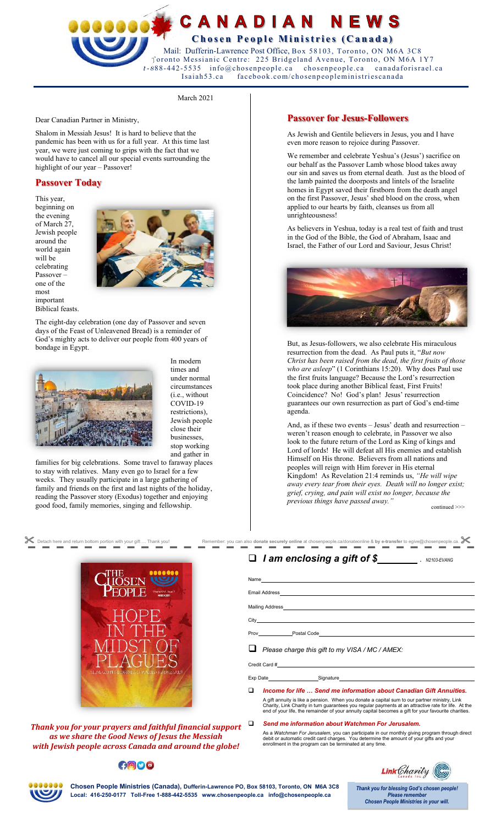## **ECANADIAN** NEWS **Chosen People Ministries (Canada)**  Mail: Dufferin-Lawrence Post Office, Box 58103, Toronto, ON M6A 3C8 Toronto Messianic Centre: 225 Bridgeland Avenue, Toronto, ON M6A 1Y7 1-888-442-5535 info@chosenpeople.ca chosenpeople.ca canadaforisrael.ca<br>Isaiah53.ca facebook.com/chosenpeopleministriescanada

March 2021

Dear Canadian Partner in Ministry,

Shalom in Messiah Jesus! It is hard to believe that the pandemic has been with us for a full year. At this time last year, we were just coming to grips with the fact that we would have to cancel all our special events surrounding the highlight of our year – Passover!

# **Passover Today**

This year, beginning on the evening of March 27, Jewish people around the world again will be celebrating Passover – one of the most important Biblical feasts.



The eight-day celebration (one day of Passover and seven days of the Feast of Unleavened Bread) is a reminder of God's mighty acts to deliver our people from 400 years of bondage in Egypt.



In modern times and under normal circumstances (i.e., without COVID-19 restrictions), Jewish people close their businesses, stop working and gather in

families for big celebrations. Some travel to faraway places to stay with relatives. Many even go to Israel for a few weeks. They usually participate in a large gathering of family and friends on the first and last nights of the holiday, reading the Passover story (Exodus) together and enjoying good food, family memories, singing and fellowship.



*Thank you for your prayers and faithful financial support as we share the Good News of Jesus the Messiah with Jewish people across Canada and around the globe!* 

## GOOO

#### **Passover for Jesus-Followers**

facebook.com/chosenpeopleministriescanada

As Jewish and Gentile believers in Jesus, you and I have even more reason to rejoice during Passover.

We remember and celebrate Yeshua's (Jesus') sacrifice on our behalf as the Passover Lamb whose blood takes away our sin and saves us from eternal death. Just as the blood of the lamb painted the doorposts and lintels of the Israelite homes in Egypt saved their firstborn from the death angel on the first Passover, Jesus' shed blood on the cross, when applied to our hearts by faith, cleanses us from all unrighteousness!

As believers in Yeshua, today is a real test of faith and trust in the God of the Bible, the God of Abraham, Isaac and Israel, the Father of our Lord and Saviour, Jesus Christ!



But, as Jesus-followers, we also celebrate His miraculous resurrection from the dead. As Paul puts it, "*But now Christ has been raised from the dead, the first fruits of those who are asleep*" (1 Corinthians 15:20). Why does Paul use the first fruits language? Because the Lord's resurrection took place during another Biblical feast, First Fruits! Coincidence? No! God's plan! Jesus' resurrection guarantees our own resurrection as part of God's end-time agenda.

And, as if these two events – Jesus' death and resurrection – weren't reason enough to celebrate, in Passover we also look to the future return of the Lord as King of kings and Lord of lords! He will defeat all His enemies and establish Himself on His throne. Believers from all nations and peoples will reign with Him forever in His eternal Kingdom! As Revelation 21:4 reminds us, *"He will wipe away every tear from their eyes. Death will no longer exist; grief, crying, and pain will exist no longer, because the previous things have passed away."*

continued >>>

 $\Box$  *I* am enclosing a gift of \$<br>*N2103-EVANG* 

Name Email Address

Mailing Address

City Prov Postal Code

*Please charge this gift to my VISA / MC / AMEX:* 

Credit Card #

Exp Date Signature

- *Income for life … Send me information about Canadian Gift Annuities.* A gift annuity is like a pension. When you donate a capital sum to our partner ministry, Link<br>Charity, Link Charity in turn guarantees you regular payments at an attractive rate for life. At the<br>end of your life, the rem
	- *Send me information about Watchmen For Jerusalem.*

As a *Watchman For Jerusalem,* you can participate in our monthly giving program through direct<br>debit or automatic credit card charges. You determine the amount of your gifts and your<br>enrollment in the program can be term





**Chosen People Ministries (Canada), Dufferin-Lawrence PO, Box 58103, Toronto, ON M6A 3C8 Local: 416-250-0177 Toll-Free 1-888-442-5535 www.chosenpeople.ca info@chosenpeople.ca** 

Thank you for blessing God's chosen people!  **Chosen People Ministries in your will.**